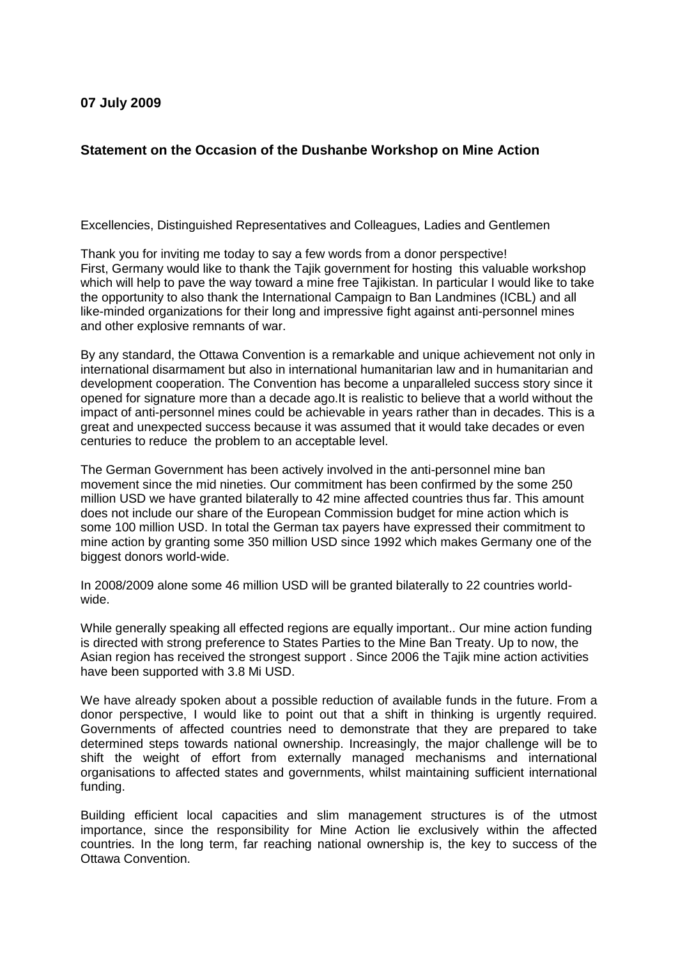## **07 July 2009**

## **Statement on the Occasion of the Dushanbe Workshop on Mine Action**

Excellencies, Distinguished Representatives and Colleagues, Ladies and Gentlemen

Thank you for inviting me today to say a few words from a donor perspective! First, Germany would like to thank the Tajik government for hosting this valuable workshop which will help to pave the way toward a mine free Tajikistan. In particular I would like to take the opportunity to also thank the International Campaign to Ban Landmines (ICBL) and all like-minded organizations for their long and impressive fight against anti-personnel mines and other explosive remnants of war.

By any standard, the Ottawa Convention is a remarkable and unique achievement not only in international disarmament but also in international humanitarian law and in humanitarian and development cooperation. The Convention has become a unparalleled success story since it opened for signature more than a decade ago.It is realistic to believe that a world without the impact of anti-personnel mines could be achievable in years rather than in decades. This is a great and unexpected success because it was assumed that it would take decades or even centuries to reduce the problem to an acceptable level.

The German Government has been actively involved in the anti-personnel mine ban movement since the mid nineties. Our commitment has been confirmed by the some 250 million USD we have granted bilaterally to 42 mine affected countries thus far. This amount does not include our share of the European Commission budget for mine action which is some 100 million USD. In total the German tax payers have expressed their commitment to mine action by granting some 350 million USD since 1992 which makes Germany one of the biggest donors world-wide.

In 2008/2009 alone some 46 million USD will be granted bilaterally to 22 countries worldwide.

While generally speaking all effected regions are equally important.. Our mine action funding is directed with strong preference to States Parties to the Mine Ban Treaty. Up to now, the Asian region has received the strongest support . Since 2006 the Tajik mine action activities have been supported with 3.8 Mi USD.

We have already spoken about a possible reduction of available funds in the future. From a donor perspective, I would like to point out that a shift in thinking is urgently required. Governments of affected countries need to demonstrate that they are prepared to take determined steps towards national ownership. Increasingly, the major challenge will be to shift the weight of effort from externally managed mechanisms and international organisations to affected states and governments, whilst maintaining sufficient international funding.

Building efficient local capacities and slim management structures is of the utmost importance, since the responsibility for Mine Action lie exclusively within the affected countries. In the long term, far reaching national ownership is, the key to success of the Ottawa Convention.